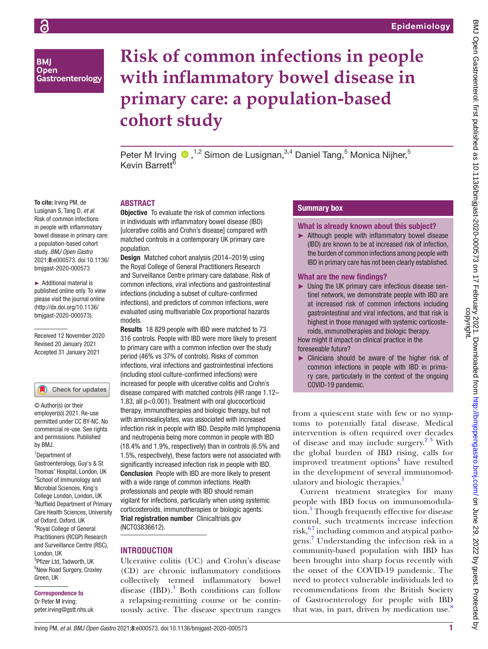**BMI Open** Gastroenterology

# **Risk of common infections in people with inflammatory bowel disease in primary care: a population-based cohort study**

Peter M Irving <sup>®</sup>,<sup>1,2</sup> Simon de Lusignan,<sup>3,4</sup> Daniel Tang,<sup>5</sup> Monica Nijher,<sup>5</sup> Kevin Barrett

#### To cite: Irving PM, de Lusignan S, Tang D, *et al*. Risk of common infections in people with inflammatory bowel disease in primary care: a population-based cohort study. *BMJ Open Gastro* 2021;8:e000573. doi:10.1136/

► Additional material is published online only. To view please visit the journal online (http://dx.doi.org/10.1136/ bmjgast-2020-000573).

bmjgast-2020-000573

Received 12 November 2020 Revised 20 January 2021 Accepted 31 January 2021

## Check for updates

© Author(s) (or their employer(s)) 2021. Re-use permitted under CC BY-NC. No commercial re-use. See rights and permissions. Published by BMJ.

#### 1 Department of

Gastroenterology, Guy's & St Thomas' Hospital, London, UK <sup>2</sup>School of Immunology and Microbial Sciences, King's College London, London, UK 3 Nuffield Department of Primary Care Health Sciences, University of Oxford, Oxford, UK 4 Royal College of General Practitioners (RCGP) Research and Surveillance Centre (RSC), London, UK 5 Pfizer Ltd, Tadworth, UK 6 New Road Surgery, Croxley Green, UK

# Correspondence to

Dr Peter M Irving; peter.irving@gstt.nhs.uk

# ABSTRACT

**Objective** To evaluate the risk of common infections in individuals with inflammatory bowel disease (IBD) [ulcerative colitis and Crohn's disease] compared with matched controls in a contemporary UK primary care population.

Design Matched cohort analysis (2014–2019) using the Royal College of General Practitioners Research and Surveillance Centre primary care database. Risk of common infections, viral infections and gastrointestinal infections (including a subset of culture-confirmed infections), and predictors of common infections, were evaluated using multivariable Cox proportional hazards models.

Results 18 829 people with IBD were matched to 73 316 controls. People with IBD were more likely to present to primary care with a common infection over the study period (46% vs 37% of controls). Risks of common infections, viral infections and gastrointestinal infections (including stool culture-confirmed infections) were increased for people with ulcerative colitis and Crohn's disease compared with matched controls (HR range 1.12– 1.83, all p<0.001). Treatment with oral glucocorticoid therapy, immunotherapies and biologic therapy, but not with aminosalicylates, was associated with increased infection risk in people with IBD. Despite mild lymphopenia and neutropenia being more common in people with IBD (18.4% and 1.9%, respectively) than in controls (6.5% and 1.5%, respectively), these factors were not associated with significantly increased infection risk in people with IBD. Conclusion People with IBD are more likely to present with a wide range of common infections. Health professionals and people with IBD should remain vigilant for infections, particularly when using systemic corticosteroids, immunotherapies or biologic agents. Trial registration number Clinicaltrials.gov [\(NCT03836612\)](NCT03835780).

# **INTRODUCTION**

Ulcerative colitis (UC) and Crohn's disease (CD) are chronic inflammatory conditions collectively termed inflammatory bowel disease  $(IBD)$ .<sup>1</sup> Both conditions can follow a relapsing-remitting course or be continuously active. The disease spectrum ranges

# Summary box

What is already known about this subject?

► Although people with inflammatory bowel disease (IBD) are known to be at increased risk of infection, the burden of common infections among people with IBD in primary care has not been clearly established.

## What are the new findings?

► Using the UK primary care infectious disease sentinel network, we demonstrate people with IBD are at increased risk of common infections including gastrointestinal and viral infections, and that risk is highest in those managed with systemic corticosteroids, immunotherapies and biologic therapy.

How might it impact on clinical practice in the foreseeable future?

► Clinicians should be aware of the higher risk of common infections in people with IBD in primary care, particularly in the context of the ongoing COVID-19 pandemic.

from a quiescent state with few or no symptoms to potentially fatal disease. Medical intervention is often required over decades of disease and may include surgery.<sup>23</sup> With the global burden of IBD rising, calls for improved treatment options<sup>[4](#page-10-2)</sup> have resulted in the development of several immunomodulatory and biologic therapies.<sup>1</sup>

Current treatment strategies for many people with IBD focus on immunomodula-tion.<sup>[5](#page-10-3)</sup> Though frequently effective for disease control, such treatments increase infection risk, $67$  including common and atypical pathogens. [7](#page-10-5) Understanding the infection risk in a community-based population with IBD has been brought into sharp focus recently with the onset of the COVID-19 pandemic. The need to protect vulnerable individuals led to recommendations from the British Society of Gastroenterology for people with IBD that was, in part, driven by medication use. $\delta$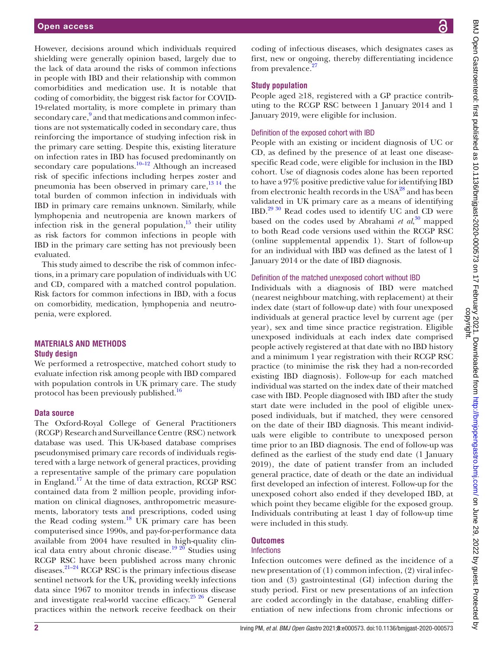However, decisions around which individuals required shielding were generally opinion based, largely due to the lack of data around the risks of common infections in people with IBD and their relationship with common comorbidities and medication use. It is notable that coding of comorbidity, the biggest risk factor for COVID-19-related mortality, is more complete in primary than secondary care,<sup>[9](#page-10-7)</sup> and that medications and common infections are not systematically coded in secondary care, thus reinforcing the importance of studying infection risk in the primary care setting. Despite this, existing literature on infection rates in IBD has focused predominantly on secondary care populations.<sup>10–12</sup> Although an increased risk of specific infections including herpes zoster and pneumonia has been observed in primary care,<sup>[13 14](#page-10-9)</sup> the total burden of common infection in individuals with IBD in primary care remains unknown. Similarly, while lymphopenia and neutropenia are known markers of infection risk in the general population, $15$  their utility as risk factors for common infections in people with IBD in the primary care setting has not previously been evaluated.

This study aimed to describe the risk of common infections, in a primary care population of individuals with UC and CD, compared with a matched control population. Risk factors for common infections in IBD, with a focus on comorbidity, medication, lymphopenia and neutropenia, were explored.

# **MATERIALS AND METHODS Study design**

We performed a retrospective, matched cohort study to evaluate infection risk among people with IBD compared with population controls in UK primary care. The study protocol has been previously published.<sup>16</sup>

#### **Data source**

The Oxford-Royal College of General Practitioners (RCGP) Research and Surveillance Centre (RSC) network database was used. This UK-based database comprises pseudonymised primary care records of individuals registered with a large network of general practices, providing a representative sample of the primary care population in England.[17](#page-10-12) At the time of data extraction, RCGP RSC contained data from 2 million people, providing information on clinical diagnoses, anthropometric measurements, laboratory tests and prescriptions, coded using the Read coding system.<sup>18</sup> UK primary care has been computerised since 1990s, and pay-for-performance data available from 2004 have resulted in high-quality clinical data entry about chronic disease.<sup>19 20</sup> Studies using RCGP RSC have been published across many chronic diseases.[21–24](#page-11-1) RCGP RSC is the primary infectious disease sentinel network for the UK, providing weekly infections data since 1967 to monitor trends in infectious disease and investigate real-world vaccine efficacy. $25\frac{25}{6}$  General practices within the network receive feedback on their

coding of infectious diseases, which designates cases as first, new or ongoing, thereby differentiating incidence from prevalence. $27$ 

## **Study population**

People aged ≥18, registered with a GP practice contributing to the RCGP RSC between 1 January 2014 and 1 January 2019, were eligible for inclusion.

# Definition of the exposed cohort with IBD

People with an existing or incident diagnosis of UC or CD, as defined by the presence of at least one diseasespecific Read code, were eligible for inclusion in the IBD cohort. Use of diagnosis codes alone has been reported to have a 97% positive predictive value for identifying IBD from electronic health records in the USA<sup>28</sup> and has been validated in UK primary care as a means of identifying IBD.[29 30](#page-11-5) Read codes used to identify UC and CD were based on the codes used by Abrahami *et al*, [30](#page-11-6) mapped to both Read code versions used within the RCGP RSC [\(online supplemental appendix 1\)](https://dx.doi.org/10.1136/bmjgast-2020-000573). Start of follow-up for an individual with IBD was defined as the latest of 1 January 2014 or the date of IBD diagnosis.

#### Definition of the matched unexposed cohort without IBD

Individuals with a diagnosis of IBD were matched (nearest neighbour matching, with replacement) at their index date (start of follow-up date) with four unexposed individuals at general practice level by current age (per year), sex and time since practice registration. Eligible unexposed individuals at each index date comprised people actively registered at that date with no IBD history and a minimum 1 year registration with their RCGP RSC practice (to minimise the risk they had a non-recorded existing IBD diagnosis). Follow-up for each matched individual was started on the index date of their matched case with IBD. People diagnosed with IBD after the study start date were included in the pool of eligible unexposed individuals, but if matched, they were censored on the date of their IBD diagnosis. This meant individuals were eligible to contribute to unexposed person time prior to an IBD diagnosis. The end of follow-up was defined as the earliest of the study end date (1 January 2019), the date of patient transfer from an included general practice, date of death or the date an individual first developed an infection of interest. Follow-up for the unexposed cohort also ended if they developed IBD, at which point they became eligible for the exposed group. Individuals contributing at least 1 day of follow-up time were included in this study.

#### **Outcomes**

## **Infections**

Infection outcomes were defined as the incidence of a new presentation of (1) common infection, (2) viral infection and (3) gastrointestinal (GI) infection during the study period. First or new presentations of an infection are coded accordingly in the database, enabling differentiation of new infections from chronic infections or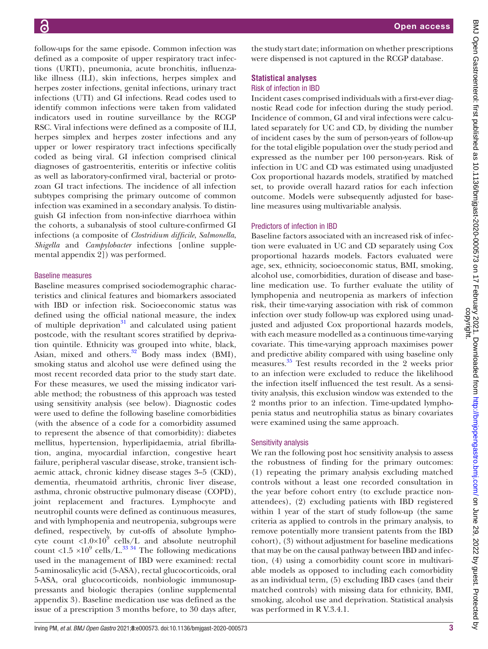follow-ups for the same episode. Common infection was defined as a composite of upper respiratory tract infections (URTI), pneumonia, acute bronchitis, influenzalike illness (ILI), skin infections, herpes simplex and herpes zoster infections, genital infections, urinary tract infections (UTI) and GI infections. Read codes used to identify common infections were taken from validated indicators used in routine surveillance by the RCGP RSC. Viral infections were defined as a composite of ILI, herpes simplex and herpes zoster infections and any upper or lower respiratory tract infections specifically coded as being viral. GI infection comprised clinical diagnoses of gastroenteritis, enteritis or infective colitis as well as laboratory-confirmed viral, bacterial or protozoan GI tract infections. The incidence of all infection subtypes comprising the primary outcome of common infection was examined in a secondary analysis. To distinguish GI infection from non-infective diarrhoea within the cohorts, a subanalysis of stool culture-confirmed GI infections (a composite of *Clostridium difficile*, *Salmonella*, *Shigella* and *Campylobacter* infections [[online supple](https://dx.doi.org/10.1136/bmjgast-2020-000573)[mental appendix 2\]](https://dx.doi.org/10.1136/bmjgast-2020-000573)) was performed.

## Baseline measures

Baseline measures comprised sociodemographic characteristics and clinical features and biomarkers associated with IBD or infection risk. Socioeconomic status was defined using the official national measure, the index of multiple deprivation $31$  and calculated using patient postcode, with the resultant scores stratified by deprivation quintile. Ethnicity was grouped into white, black, Asian, mixed and others.<sup>32</sup> Body mass index (BMI), smoking status and alcohol use were defined using the most recent recorded data prior to the study start date. For these measures, we used the missing indicator variable method; the robustness of this approach was tested using sensitivity analysis (see below). Diagnostic codes were used to define the following baseline comorbidities (with the absence of a code for a comorbidity assumed to represent the absence of that comorbidity): diabetes mellitus, hypertension, hyperlipidaemia, atrial fibrillation, angina, myocardial infarction, congestive heart failure, peripheral vascular disease, stroke, transient ischaemic attack, chronic kidney disease stages 3–5 (CKD), dementia, rheumatoid arthritis, chronic liver disease, asthma, chronic obstructive pulmonary disease (COPD), joint replacement and fractures. Lymphocyte and neutrophil counts were defined as continuous measures, and with lymphopenia and neutropenia, subgroups were defined, respectively, by cut-offs of absolute lymphocyte count  $\langle 1.0 \times 10^9 \text{ cells/L}$  and absolute neutrophil count <1.5  $\times$ 10<sup>9</sup> cells/L.<sup>33 34</sup> The following medications used in the management of IBD were examined: rectal 5-aminosalicylic acid (5-ASA), rectal glucocorticoids, oral 5-ASA, oral glucocorticoids, nonbiologic immunosuppressants and biologic therapies [\(online supplemental](https://dx.doi.org/10.1136/bmjgast-2020-000573) [appendix 3](https://dx.doi.org/10.1136/bmjgast-2020-000573)). Baseline medication use was defined as the issue of a prescription 3 months before, to 30 days after,

the study start date; information on whether prescriptions were dispensed is not captured in the RCGP database.

## **Statistical analyses** Risk of infection in IBD

Incident cases comprised individuals with a first-ever diagnostic Read code for infection during the study period. Incidence of common, GI and viral infections were calculated separately for UC and CD, by dividing the number of incident cases by the sum of person-years of follow-up for the total eligible population over the study period and expressed as the number per 100 person-years. Risk of infection in UC and CD was estimated using unadjusted Cox proportional hazards models, stratified by matched set, to provide overall hazard ratios for each infection outcome. Models were subsequently adjusted for baseline measures using multivariable analysis.

## Predictors of infection in IBD

Baseline factors associated with an increased risk of infection were evaluated in UC and CD separately using Cox proportional hazards models. Factors evaluated were age, sex, ethnicity, socioeconomic status, BMI, smoking, alcohol use, comorbidities, duration of disease and baseline medication use. To further evaluate the utility of lymphopenia and neutropenia as markers of infection risk, their time-varying association with risk of common infection over study follow-up was explored using unadjusted and adjusted Cox proportional hazards models, with each measure modelled as a continuous time-varying covariate. This time-varying approach maximises power and predictive ability compared with using baseline only measures. [35](#page-11-10) Test results recorded in the 2 weeks prior to an infection were excluded to reduce the likelihood the infection itself influenced the test result. As a sensitivity analysis, this exclusion window was extended to the 2 months prior to an infection. Time-updated lymphopenia status and neutrophilia status as binary covariates were examined using the same approach.

## Sensitivity analysis

We ran the following post hoc sensitivity analysis to assess the robustness of finding for the primary outcomes: (1) repeating the primary analysis excluding matched controls without a least one recorded consultation in the year before cohort entry (to exclude practice nonattendees), (2) excluding patients with IBD registered within 1 year of the start of study follow-up (the same criteria as applied to controls in the primary analysis, to remove potentially more transient patents from the IBD cohort), (3) without adjustment for baseline medications that may be on the causal pathway between IBD and infection, (4) using a comorbidity count score in multivariable models as opposed to including each comorbidity as an individual term, (5) excluding IBD cases (and their matched controls) with missing data for ethnicity, BMI, smoking, alcohol use and deprivation. Statistical analysis was performed in R V.3.4.1.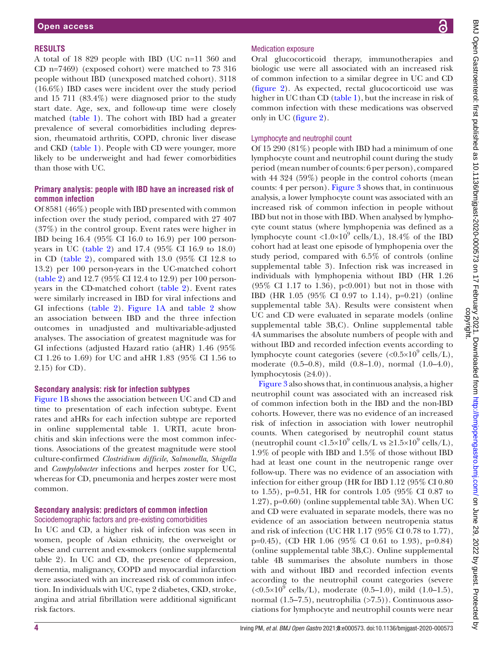#### **RESULTS**

A total of 18 829 people with IBD (UC n=11 360 and CD n=7469) (exposed cohort) were matched to 73 316 people without IBD (unexposed matched cohort). 3118 (16.6%) IBD cases were incident over the study period and 15 711 (83.4%) were diagnosed prior to the study start date. Age, sex, and follow-up time were closely matched [\(table](#page-4-0) 1). The cohort with IBD had a greater prevalence of several comorbidities including depression, rheumatoid arthritis, COPD, chronic liver disease and CKD ([table](#page-4-0) 1). People with CD were younger, more likely to be underweight and had fewer comorbidities than those with UC.

## **Primary analysis: people with IBD have an increased risk of common infection**

Of 8581 (46%) people with IBD presented with common infection over the study period, compared with 27 407 (37%) in the control group. Event rates were higher in IBD being 16.4 (95% CI 16.0 to 16.9) per 100 personyears in UC [\(table](#page-6-0) 2) and 17.4 (95% CI 16.9 to 18.0) in CD ([table](#page-6-0) 2), compared with 13.0 (95% CI 12.8 to 13.2) per 100 person-years in the UC-matched cohort [\(table](#page-6-0) 2) and 12.7 (95% CI 12.4 to 12.9) per 100 personyears in the CD-matched cohort [\(table](#page-6-0) 2). Event rates were similarly increased in IBD for viral infections and GI infections ([table](#page-6-0) 2). [Figure](#page-7-0) 1A and [table](#page-6-0) 2 show an association between IBD and the three infection outcomes in unadjusted and multivariable-adjusted analyses. The association of greatest magnitude was for GI infections (adjusted Hazard ratio (aHR) 1.46 (95% CI 1.26 to 1.69) for UC and aHR 1.83 (95% CI 1.56 to 2.15) for CD).

#### **Secondary analysis: risk for infection subtypes**

[Figure](#page-7-0) 1B shows the association between UC and CD and time to presentation of each infection subtype. Event rates and aHRs for each infection subtype are reported in [online supplemental table 1.](https://dx.doi.org/10.1136/bmjgast-2020-000573) URTI, acute bronchitis and skin infections were the most common infections. Associations of the greatest magnitude were stool culture-confirmed *Clostridium difficile*, *Salmonella*, *Shigella* and *Campylobacter* infections and herpes zoster for UC, whereas for CD, pneumonia and herpes zoster were most common.

## **Secondary analysis: predictors of common infection** Sociodemographic factors and pre-existing comorbidities

In UC and CD, a higher risk of infection was seen in women, people of Asian ethnicity, the overweight or obese and current and ex-smokers [\(online supplemental](https://dx.doi.org/10.1136/bmjgast-2020-000573) [table 2](https://dx.doi.org/10.1136/bmjgast-2020-000573)). In UC and CD, the presence of depression, dementia, malignancy, COPD and myocardial infarction were associated with an increased risk of common infection. In individuals with UC, type 2 diabetes, CKD, stroke, angina and atrial fibrillation were additional significant risk factors.

#### Medication exposure

Oral glucocorticoid therapy, immunotherapies and biologic use were all associated with an increased risk of common infection to a similar degree in UC and CD [\(figure](#page-8-0) 2). As expected, rectal glucocorticoid use was higher in UC than CD ([table](#page-4-0) 1), but the increase in risk of common infection with these medications was observed only in UC [\(figure](#page-8-0) 2).

#### Lymphocyte and neutrophil count

Of 15 290 (81%) people with IBD had a minimum of one lymphocyte count and neutrophil count during the study period (mean number of counts: 6 per person), compared with 44 324 (59%) people in the control cohorts (mean counts: 4 per person). [Figure](#page-9-0) 3 shows that, in continuous analysis, a lower lymphocyte count was associated with an increased risk of common infection in people without IBD but not in those with IBD. When analysed by lymphocyte count status (where lymphopenia was defined as a lymphocyte count <1.0×10<sup>9</sup> cells/L), 18.4% of the IBD cohort had at least one episode of lymphopenia over the study period, compared with 6.5% of controls [\(online](https://dx.doi.org/10.1136/bmjgast-2020-000573) [supplemental table 3](https://dx.doi.org/10.1136/bmjgast-2020-000573)). Infection risk was increased in individuals with lymphopenia without IBD (HR 1.26 (95% CI 1.17 to 1.36), p<0.001) but not in those with IBD (HR 1.05 (95% CI 0.97 to 1.14), p=0.21) [\(online](https://dx.doi.org/10.1136/bmjgast-2020-000573) [supplemental table 3A\)](https://dx.doi.org/10.1136/bmjgast-2020-000573). Results were consistent when UC and CD were evaluated in separate models [\(online](https://dx.doi.org/10.1136/bmjgast-2020-000573) [supplemental table 3B,C](https://dx.doi.org/10.1136/bmjgast-2020-000573)). [Online supplemental table](https://dx.doi.org/10.1136/bmjgast-2020-000573) [4A](https://dx.doi.org/10.1136/bmjgast-2020-000573) summarises the absolute numbers of people with and without IBD and recorded infection events according to lymphocyte count categories (severe  $\langle \langle 0.5 \times 10^9 \text{ cells/L} \rangle$ , moderate (0.5–0.8), mild (0.8–1.0), normal (1.0–4.0), lymphocytosis  $(≥4.0)$ ).

[Figure](#page-9-0) 3 also shows that, in continuous analysis, a higher neutrophil count was associated with an increased risk of common infection both in the IBD and the non-IBD cohorts. However, there was no evidence of an increased risk of infection in association with lower neutrophil counts. When categorised by neutrophil count status (neutrophil count <1.5×10<sup>9</sup> cells/L vs ≥1.5×10<sup>9</sup> cells/L), 1.9% of people with IBD and 1.5% of those without IBD had at least one count in the neutropenic range over follow-up. There was no evidence of an association with infection for either group (HR for IBD 1.12 (95% CI 0.80 to 1.55), p=0.51, HR for controls 1.05 (95% CI 0.87 to 1.27), p=0.60) [\(online supplemental table 3A](https://dx.doi.org/10.1136/bmjgast-2020-000573)). When UC and CD were evaluated in separate models, there was no evidence of an association between neutropenia status and risk of infection (UC HR 1.17 (95% CI 0.78 to 1.77), p=0.45), (CD HR 1.06 (95% CI 0.61 to 1.93), p=0.84) [\(online supplemental table 3B,C](https://dx.doi.org/10.1136/bmjgast-2020-000573)). [Online supplemental](https://dx.doi.org/10.1136/bmjgast-2020-000573) [table 4B](https://dx.doi.org/10.1136/bmjgast-2020-000573) summarises the absolute numbers in those with and without IBD and recorded infection events according to the neutrophil count categories (severe  $(<0.5\times10^{9}$  cells/L), moderate (0.5–1.0), mild (1.0–1.5), normal  $(1.5-7.5)$ , neutrophilia  $(>7.5)$ ). Continuous associations for lymphocyte and neutrophil counts were near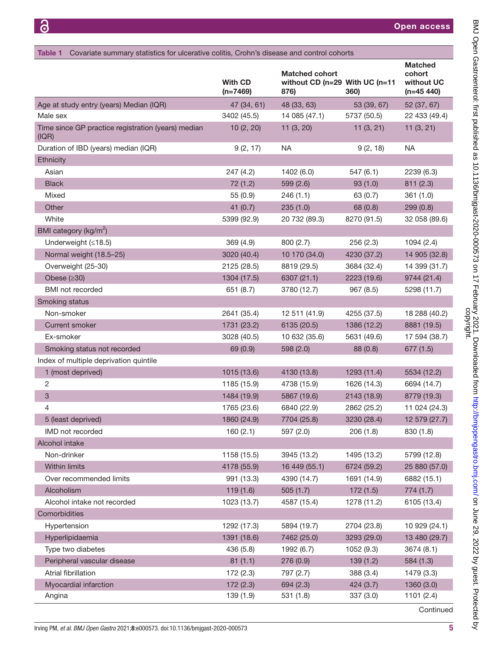<span id="page-4-0"></span>

|                                                             | <b>With CD</b><br>$(n=7469)$ | <b>Matched cohort</b><br>without CD (n=29 With UC (n=11<br>876) | 360)        | <b>Matched</b><br>cohort<br>without UC<br>$(n=45 440)$ |
|-------------------------------------------------------------|------------------------------|-----------------------------------------------------------------|-------------|--------------------------------------------------------|
| Age at study entry (years) Median (IQR)                     | 47 (34, 61)                  | 48 (33, 63)                                                     | 53 (39, 67) | 52 (37, 67)                                            |
| Male sex                                                    | 3402 (45.5)                  | 14 085 (47.1)                                                   | 5737 (50.5) | 22 433 (49.4)                                          |
| Time since GP practice registration (years) median<br>(IQR) | 10(2, 20)                    | 11(3, 20)                                                       | 11(3, 21)   | 11(3, 21)                                              |
| Duration of IBD (years) median (IQR)                        | 9(2, 17)                     | <b>NA</b>                                                       | 9(2, 18)    | <b>NA</b>                                              |
| Ethnicity                                                   |                              |                                                                 |             |                                                        |
| Asian                                                       | 247 (4.2)                    | 1402 (6.0)                                                      | 547(6.1)    | 2239 (6.3)                                             |
| <b>Black</b>                                                | 72(1.2)                      | 599 (2.6)                                                       | 93(1.0)     | 811 (2.3)                                              |
| Mixed                                                       | 55(0.9)                      | 246(1.1)                                                        | 63 (0.7)    | 361(1.0)                                               |
| Other                                                       | 41 $(0.7)$                   | 235(1.0)                                                        | 68 (0.8)    | 299(0.8)                                               |
| White                                                       | 5399 (92.9)                  | 20 732 (89.3)                                                   | 8270 (91.5) | 32 058 (89.6)                                          |
| BMI category (kg/m <sup>2</sup> )                           |                              |                                                                 |             |                                                        |
| Underweight $(≤18.5)$                                       | 369 (4.9)                    | 800 (2.7)                                                       | 256(2.3)    | 1094(2.4)                                              |
| Normal weight (18.5-25)                                     | 3020 (40.4)                  | 10 170 (34.0)                                                   | 4230 (37.2) | 14 905 (32.8)                                          |
| Overweight (25-30)                                          | 2125 (28.5)                  | 8819 (29.5)                                                     | 3684 (32.4) | 14 399 (31.7)                                          |
| Obese $(≥30)$                                               | 1304 (17.5)                  | 6307 (21.1)                                                     | 2223 (19.6) | 9744 (21.4)                                            |
| BMI not recorded                                            | 651 (8.7)                    | 3780 (12.7)                                                     | 967(8.5)    | 5298 (11.7)                                            |
| Smoking status                                              |                              |                                                                 |             |                                                        |
| Non-smoker                                                  | 2641 (35.4)                  | 12 511 (41.9)                                                   | 4255 (37.5) | 18 288 (40.2)                                          |
| <b>Current smoker</b>                                       | 1731 (23.2)                  | 6135 (20.5)                                                     | 1386 (12.2) | 8881 (19.5)                                            |
| Ex-smoker                                                   | 3028 (40.5)                  | 10 632 (35.6)                                                   | 5631 (49.6) | 17 594 (38.7)                                          |
| Smoking status not recorded                                 | 69 (0.9)                     | 598 (2.0)                                                       | 88 (0.8)    | 677(1.5)                                               |
| Index of multiple deprivation quintile                      |                              |                                                                 |             |                                                        |
| 1 (most deprived)                                           | 1015 (13.6)                  | 4130 (13.8)                                                     | 1293 (11.4) | 5534 (12.2)                                            |
| 2                                                           | 1185 (15.9)                  | 4738 (15.9)                                                     | 1626 (14.3) | 6694 (14.7)                                            |
| 3                                                           | 1484 (19.9)                  | 5867 (19.6)                                                     | 2143 (18.9) | 8779 (19.3)                                            |
| 4                                                           | 1765 (23.6)                  | 6840 (22.9)                                                     | 2862 (25.2) | 11 024 (24.3)                                          |
| 5 (least deprived)                                          | 1860 (24.9)                  | 7704 (25.8)                                                     | 3230 (28.4) | 12 579 (27.7)                                          |
| IMD not recorded                                            | 160(2.1)                     | 597 (2.0)                                                       | 206(1.8)    | 830 (1.8)                                              |
| Alcohol intake                                              |                              |                                                                 |             |                                                        |
| Non-drinker                                                 | 1158 (15.5)                  | 3945 (13.2)                                                     | 1495 (13.2) | 5799 (12.8)                                            |
| Within limits                                               | 4178 (55.9)                  | 16 449 (55.1)                                                   | 6724 (59.2) | 25 880 (57.0)                                          |
| Over recommended limits                                     | 991 (13.3)                   | 4390 (14.7)                                                     | 1691 (14.9) | 6882 (15.1)                                            |
| Alcoholism                                                  | 119(1.6)                     | 505(1.7)                                                        | 172(1.5)    | 774(1.7)                                               |
| Alcohol intake not recorded                                 | 1023 (13.7)                  | 4587 (15.4)                                                     | 1278 (11.2) | 6105 (13.4)                                            |
| Comorbidities                                               |                              |                                                                 |             |                                                        |
| Hypertension                                                | 1292 (17.3)                  | 5894 (19.7)                                                     | 2704 (23.8) | 10 929 (24.1)                                          |
| Hyperlipidaemia                                             | 1391 (18.6)                  | 7462 (25.0)                                                     | 3293 (29.0) | 13 480 (29.7)                                          |
| Type two diabetes                                           | 436 (5.8)                    | 1992 (6.7)                                                      | 1052 (9.3)  | 3674 (8.1)                                             |
| Peripheral vascular disease                                 | 81(1.1)                      | 276 (0.9)                                                       | 139(1.2)    | 584 (1.3)                                              |
| Atrial fibrillation                                         | 172(2.3)                     | 797 (2.7)                                                       | 388 (3.4)   | 1479 (3.3)                                             |
| Myocardial infarction                                       | 172(2.3)                     | 694 (2.3)                                                       | 424 (3.7)   | 1360 (3.0)                                             |
| Angina                                                      | 139 (1.9)                    | 531(1.8)                                                        | 337 (3.0)   | 1101(2.4)                                              |

**Continued**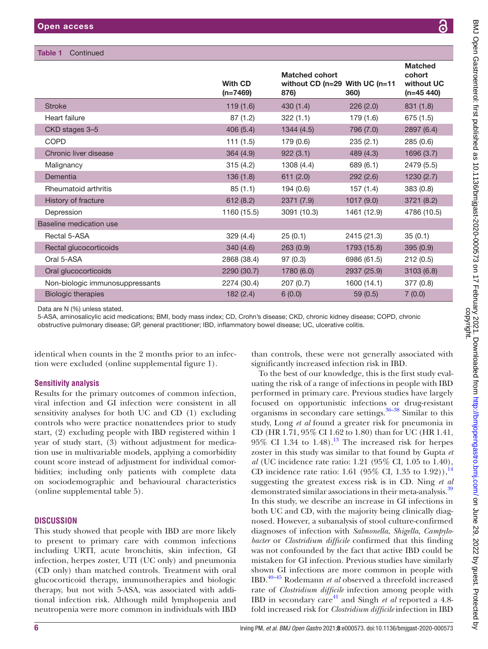## Table 1 Continued

|                                 | <b>With CD</b><br>$(n=7469)$ | <b>Matched cohort</b><br>876) | without $CD$ (n=29 With UC (n=11<br>360) | <b>Matched</b><br>cohort<br>without UC<br>$(n=45 440)$ |
|---------------------------------|------------------------------|-------------------------------|------------------------------------------|--------------------------------------------------------|
| <b>Stroke</b>                   | 119(1.6)                     | 430(1.4)                      | 226(2.0)                                 | 831(1.8)                                               |
| Heart failure                   | 87(1.2)                      | 322(1.1)                      | 179 (1.6)                                | 675 (1.5)                                              |
| CKD stages 3-5                  | 406(5.4)                     | 1344(4.5)                     | 796 (7.0)                                | 2897 (6.4)                                             |
| <b>COPD</b>                     | 111(1.5)                     | 179 (0.6)                     | 235(2.1)                                 | 285 (0.6)                                              |
| Chronic liver disease           | 364(4.9)                     | 922(3.1)                      | 489 (4.3)                                | 1696 (3.7)                                             |
| Malignancy                      | 315(4.2)                     | 1308 (4.4)                    | 689 (6.1)                                | 2479 (5.5)                                             |
| Dementia                        | 136(1.8)                     | 611(2.0)                      | 292 (2.6)                                | 1230(2.7)                                              |
| Rheumatoid arthritis            | 85(1.1)                      | 194(0.6)                      | 157(1.4)                                 | 383(0.8)                                               |
| History of fracture             | 612(8.2)                     | 2371(7.9)                     | 1017(9.0)                                | 3721 (8.2)                                             |
| Depression                      | 1160 (15.5)                  | 3091 (10.3)                   | 1461 (12.9)                              | 4786 (10.5)                                            |
| Baseline medication use         |                              |                               |                                          |                                                        |
| Rectal 5-ASA                    | 329(4.4)                     | 25(0.1)                       | 2415 (21.3)                              | 35(0.1)                                                |
| Rectal glucocorticoids          | 340(4.6)                     | 263(0.9)                      | 1793 (15.8)                              | 395(0.9)                                               |
| Oral 5-ASA                      | 2868 (38.4)                  | 97(0.3)                       | 6986 (61.5)                              | 212(0.5)                                               |
| Oral glucocorticoids            | 2290 (30.7)                  | 1780(6.0)                     | 2937 (25.9)                              | 3103(6.8)                                              |
| Non-biologic immunosuppressants | 2274 (30.4)                  | 207(0.7)                      | 1600 (14.1)                              | 377(0.8)                                               |
| <b>Biologic therapies</b>       | 182(2.4)                     | 6(0.0)                        | 59(0.5)                                  | 7(0.0)                                                 |

Data are N (%) unless stated.

5-ASA, aminosalicylic acid medications; BMI, body mass index; CD, Crohn's disease; CKD, chronic kidney disease; COPD, chronic obstructive pulmonary disease; GP, general practitioner; IBD, inflammatory bowel disease; UC, ulcerative colitis.

identical when counts in the 2 months prior to an infection were excluded [\(online supplemental figure 1\)](https://dx.doi.org/10.1136/bmjgast-2020-000573).

# **Sensitivity analysis**

Results for the primary outcomes of common infection, viral infection and GI infection were consistent in all sensitivity analyses for both UC and CD (1) excluding controls who were practice nonattendees prior to study start, (2) excluding people with IBD registered within 1 year of study start, (3) without adjustment for medication use in multivariable models, applying a comorbidity count score instead of adjustment for individual comorbidities; including only patients with complete data on sociodemographic and behavioural characteristics [\(online supplemental table 5](https://dx.doi.org/10.1136/bmjgast-2020-000573)).

## **DISCUSSION**

This study showed that people with IBD are more likely to present to primary care with common infections including URTI, acute bronchitis, skin infection, GI infection, herpes zoster, UTI (UC only) and pneumonia (CD only) than matched controls. Treatment with oral glucocorticoid therapy, immunotherapies and biologic therapy, but not with 5-ASA, was associated with additional infection risk. Although mild lymphopenia and neutropenia were more common in individuals with IBD

than controls, these were not generally associated with significantly increased infection risk in IBD.

To the best of our knowledge, this is the first study evaluating the risk of a range of infections in people with IBD performed in primary care. Previous studies have largely focused on opportunistic infections or drug-resistant organisms in secondary care settings. $36-38$  Similar to this study, Long *et al* found a greater risk for pneumonia in CD (HR 1.71, 95% CI 1.62 to 1.80) than for UC (HR 1.41,  $95\%$  CI 1.34 to 1.48).<sup>13</sup> The increased risk for herpes zoster in this study was similar to that found by Gupta *et al* (UC incidence rate ratio: 1.21 (95% CI, 1.05 to 1.40), CD incidence rate ratio: 1.61 (95% CI, 1.35 to 1.92)),<sup>14</sup> suggesting the greatest excess risk is in CD. Ning *et al* demonstrated similar associations in their meta-analysis.<sup>[39](#page-11-12)</sup> In this study, we describe an increase in GI infections in both UC and CD, with the majority being clinically diagnosed. However, a subanalysis of stool culture-confirmed diagnoses of infection with *Salmonella*, *Shigella*, *Campylobacter* or *Clostridium difficile* confirmed that this finding was not confounded by the fact that active IBD could be mistaken for GI infection. Previous studies have similarly shown GI infections are more common in people with IBD.[40–45](#page-11-13) Rodemann *et al* observed a threefold increased rate of *Clostridium difficile* infection among people with IBD in secondary care<sup>41</sup> and Singh *et al* reported a 4.8fold increased risk for *Clostridium difficile* infection in IBD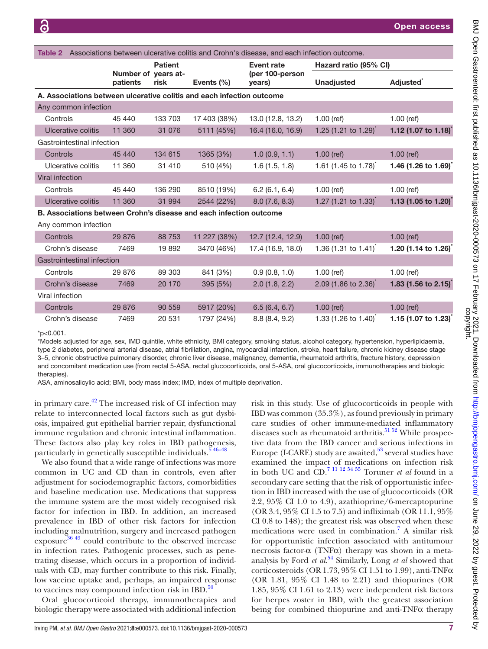<span id="page-6-0"></span>

| Associations between ulcerative colitis and Crohn's disease, and each infection outcome.<br>Table 2 |                                 |                |                |                           |                                    |                                  |  |  |  |  |
|-----------------------------------------------------------------------------------------------------|---------------------------------|----------------|----------------|---------------------------|------------------------------------|----------------------------------|--|--|--|--|
|                                                                                                     |                                 | <b>Patient</b> |                | <b>Event rate</b>         | Hazard ratio (95% CI)              |                                  |  |  |  |  |
|                                                                                                     | Number of years at-<br>patients | risk           | Events $(\% )$ | (per 100-person<br>years) | <b>Unadjusted</b>                  | <b>Adjusted</b> *                |  |  |  |  |
| A. Associations between ulcerative colitis and each infection outcome                               |                                 |                |                |                           |                                    |                                  |  |  |  |  |
| Any common infection                                                                                |                                 |                |                |                           |                                    |                                  |  |  |  |  |
| Controls                                                                                            | 45 440                          | 133 703        | 17 403 (38%)   | 13.0 (12.8, 13.2)         | $1.00$ (ref)                       | $1.00$ (ref)                     |  |  |  |  |
| Ulcerative colitis                                                                                  | 11 360                          | 31 0 76        | 5111 (45%)     | 16.4 (16.0, 16.9)         | 1.25 $(1.21 \text{ to } 1.29)$     | 1.12 (1.07 to 1.18) <sup>*</sup> |  |  |  |  |
| Gastrointestinal infection                                                                          |                                 |                |                |                           |                                    |                                  |  |  |  |  |
| Controls                                                                                            | 45 440                          | 134 615        | 1365 (3%)      | 1.0(0.9, 1.1)             | $1.00$ (ref)                       | $1.00$ (ref)                     |  |  |  |  |
| Ulcerative colitis                                                                                  | 11 360                          | 31 410         | 510 (4%)       | 1.6(1.5, 1.8)             | 1.61 (1.45 to 1.78) <sup>*</sup>   | 1.46 (1.26 to 1.69)              |  |  |  |  |
| Viral infection                                                                                     |                                 |                |                |                           |                                    |                                  |  |  |  |  |
| Controls                                                                                            | 45 440                          | 136 290        | 8510 (19%)     | 6.2(6.1, 6.4)             | $1.00$ (ref)                       | $1.00$ (ref)                     |  |  |  |  |
| Ulcerative colitis                                                                                  | 11 360                          | 31 994         | 2544 (22%)     | 8.0(7.6, 8.3)             | 1.27 (1.21 to 1.33) <sup>*</sup>   | 1.13 (1.05 to 1.20) <sup>*</sup> |  |  |  |  |
| B. Associations between Crohn's disease and each infection outcome                                  |                                 |                |                |                           |                                    |                                  |  |  |  |  |
| Any common infection                                                                                |                                 |                |                |                           |                                    |                                  |  |  |  |  |
| Controls                                                                                            | 29 876                          | 88 753         | 11 227 (38%)   | 12.7 (12.4, 12.9)         | $1.00$ (ref)                       | $1.00$ (ref)                     |  |  |  |  |
| Crohn's disease                                                                                     | 7469                            | 19892          | 3470 (46%)     | 17.4 (16.9, 18.0)         | 1.36 (1.31 to 1.41) <sup>*</sup>   | 1.20 (1.14 to 1.26) <sup>*</sup> |  |  |  |  |
| Gastrointestinal infection                                                                          |                                 |                |                |                           |                                    |                                  |  |  |  |  |
| Controls                                                                                            | 29 876                          | 89 303         | 841 (3%)       | 0.9(0.8, 1.0)             | $1.00$ (ref)                       | $1.00$ (ref)                     |  |  |  |  |
| Crohn's disease                                                                                     | 7469                            | 20 170         | 395 (5%)       | 2.0(1.8, 2.2)             | 2.09 (1.86 to 2.36) <sup>*</sup>   | 1.83 (1.56 to 2.15) <sup>*</sup> |  |  |  |  |
| Viral infection                                                                                     |                                 |                |                |                           |                                    |                                  |  |  |  |  |
| Controls                                                                                            | 29 876                          | 90 559         | 5917 (20%)     | 6.5(6.4, 6.7)             | $1.00$ (ref)                       | $1.00$ (ref)                     |  |  |  |  |
| Crohn's disease                                                                                     | 7469                            | 20 531         | 1797 (24%)     | 8.8(8.4, 9.2)             | 1.33 $(1.26 \text{ to } 1.40)^{t}$ | 1.15 $(1.07 \text{ to } 1.23)$   |  |  |  |  |

 $*$ p<0.001.

\*Models adjusted for age, sex, IMD quintile, white ethnicity, BMI category, smoking status, alcohol category, hypertension, hyperlipidaemia, type 2 diabetes, peripheral arterial disease, atrial fibrillation, angina, myocardial infarction, stroke, heart failure, chronic kidney disease stage 3–5, chronic obstructive pulmonary disorder, chronic liver disease, malignancy, dementia, rheumatoid arthritis, fracture history, depression and concomitant medication use (from rectal 5-ASA, rectal glucocorticoids, oral 5-ASA, oral glucocorticoids, immunotherapies and biologic therapies).

ASA, aminosalicylic acid; BMI, body mass index; IMD, index of multiple deprivation.

in primary care. $^{42}$  $^{42}$  $^{42}$  The increased risk of GI infection may relate to interconnected local factors such as gut dysbiosis, impaired gut epithelial barrier repair, dysfunctional immune regulation and chronic intestinal inflammation. These factors also play key roles in IBD pathogenesis, particularly in genetically susceptible individuals. $5\frac{46-48}{46}$ 

We also found that a wide range of infections was more common in UC and CD than in controls, even after adjustment for sociodemographic factors, comorbidities and baseline medication use. Medications that suppress the immune system are the most widely recognised risk factor for infection in IBD. In addition, an increased prevalence in IBD of other risk factors for infection including malnutrition, surgery and increased pathogen exposure<sup>[36 49](#page-11-11)</sup> could contribute to the observed increase in infection rates. Pathogenic processes, such as penetrating disease, which occurs in a proportion of individuals with CD, may further contribute to this risk. Finally, low vaccine uptake and, perhaps, an impaired response to vaccines may compound infection risk in IBD. $^{50}$  $^{50}$  $^{50}$ 

Oral glucocorticoid therapy, immunotherapies and biologic therapy were associated with additional infection

risk in this study. Use of glucocorticoids in people with IBD was common (35.3%), as found previously in primary care studies of other immune-mediated inflammatory diseases such as rheumatoid arthritis.<sup>[51 52](#page-11-17)</sup> While prospective data from the IBD cancer and serious infections in Europe (I-CARE) study are awaited, $5^3$  several studies have examined the impact of medications on infection risk in both UC and CD.[7 11 12 54 55](#page-10-5) Toruner *et al* found in a secondary care setting that the risk of opportunistic infection in IBD increased with the use of glucocorticoids (OR 2.2, 95% CI 1.0 to 4.9), azathioprine/6-mercaptopurine (OR 3.4, 95% CI 1.5 to 7.5) and infliximab (OR 11.1, 95% CI 0.8 to 148); the greatest risk was observed when these medications were used in combination.<sup>[7](#page-10-5)</sup> A similar risk for opportunistic infection associated with antitumour necrosis factor-α (TNFα) therapy was shown in a metaanalysis by Ford *et al*. [54](#page-11-19) Similarly, Long *et al* showed that corticosteroids (OR 1.73,  $95\%$  CI 1.51 to 1.99), anti-TNF $\alpha$ (OR 1.81, 95% CI 1.48 to 2.21) and thiopurines (OR 1.85, 95% CI 1.61 to 2.13) were independent risk factors for herpes zoster in IBD, with the greatest association being for combined thiopurine and anti-TNFα therapy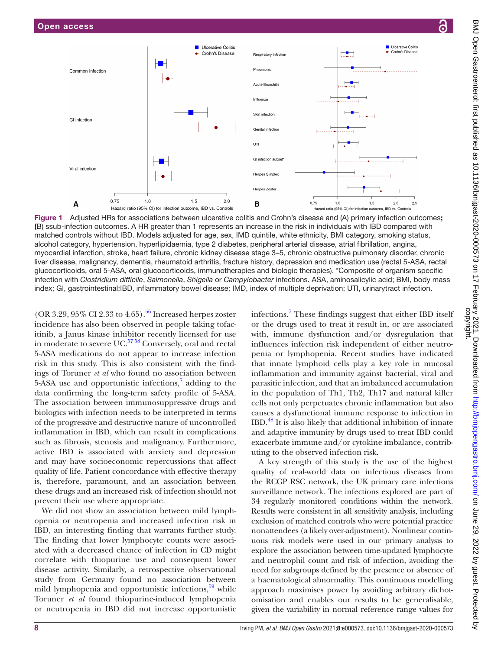

<span id="page-7-0"></span>Figure 1 Adjusted HRs for associations between ulcerative colitis and Crohn's disease and (A) primary infection outcomes: (B) ssub-infection outcomes. A HR greater than 1 represents an increase in the risk in individuals with IBD compared with matched controls without IBD. Models adjusted for age, sex, IMD quintile, white ethnicity, BMI category, smoking status, alcohol category, hypertension, hyperlipidaemia, type 2 diabetes, peripheral arterial disease, atrial fibrillation, angina, myocardial infarction, stroke, heart failure, chronic kidney disease stage 3–5, chronic obstructive pulmonary disorder, chronic liver disease, malignancy, dementia, rheumatoid arthritis, fracture history, depression and medication use (rectal 5-ASA, rectal glucocorticoids, oral 5-ASA, oral glucocorticoids, immunotherapies and biologic therapies). \*Composite of organism specific infection with *Clostridium difficile*, *Salmonella*, *Shigella* or *Campylobacter* infections. ASA, aminosalicylic acid; BMI, body mass index; GI, gastrointestinal;IBD, inflammatory bowel disease; IMD, index of multiple deprivation; UTI, urinarytract infection.

(OR 3.29,  $95\%$  CI 2.33 to 4.65).<sup>[56](#page-11-20)</sup> Increased herpes zoster incidence has also been observed in people taking tofacitinib, a Janus kinase inhibitor recently licensed for use in moderate to severe UC.<sup>57</sup><sup>58</sup> Conversely, oral and rectal 5-ASA medications do not appear to increase infection risk in this study. This is also consistent with the findings of Toruner *et al* who found no association between 5-ASA use and opportunistic infections, $\frac{7}{7}$  adding to the data confirming the long-term safety profile of 5-ASA. The association between immunosuppressive drugs and biologics with infection needs to be interpreted in terms of the progressive and destructive nature of uncontrolled inflammation in IBD, which can result in complications such as fibrosis, stenosis and malignancy. Furthermore, active IBD is associated with anxiety and depression and may have socioeconomic repercussions that affect quality of life. Patient concordance with effective therapy is, therefore, paramount, and an association between these drugs and an increased risk of infection should not prevent their use where appropriate.

We did not show an association between mild lymphopenia or neutropenia and increased infection risk in IBD, an interesting finding that warrants further study. The finding that lower lymphocyte counts were associated with a decreased chance of infection in CD might correlate with thiopurine use and consequent lower disease activity. Similarly, a retrospective observational study from Germany found no association between mild lymphopenia and opportunistic infections, $59$  while Toruner *et al* found thiopurine-induced lymphopenia or neutropenia in IBD did not increase opportunistic

infections.<sup>7</sup> These findings suggest that either IBD itself or the drugs used to treat it result in, or are associated with, immune dysfunction and/or dysregulation that influences infection risk independent of either neutropenia or lymphopenia. Recent studies have indicated that innate lymphoid cells play a key role in mucosal inflammation and immunity against bacterial, viral and parasitic infection, and that an imbalanced accumulation in the population of Th1, Th2, Th17 and natural killer cells not only perpetuates chronic inflammation but also causes a dysfunctional immune response to infection in IBD.[48](#page-11-23) It is also likely that additional inhibition of innate and adaptive immunity by drugs used to treat IBD could exacerbate immune and/or cytokine imbalance, contributing to the observed infection risk.

A key strength of this study is the use of the highest quality of real-world data on infectious diseases from the RCGP RSC network, the UK primary care infections surveillance network. The infections explored are part of 34 regularly monitored conditions within the network. Results were consistent in all sensitivity analysis, including exclusion of matched controls who were potential practice nonattendees (a likely over-adjustment). Nonlinear continuous risk models were used in our primary analysis to explore the association between time-updated lymphocyte and neutrophil count and risk of infection, avoiding the need for subgroups defined by the presence or absence of a haematological abnormality. This continuous modelling approach maximises power by avoiding arbitrary dichotomisation and enables our results to be generalisable, given the variability in normal reference range values for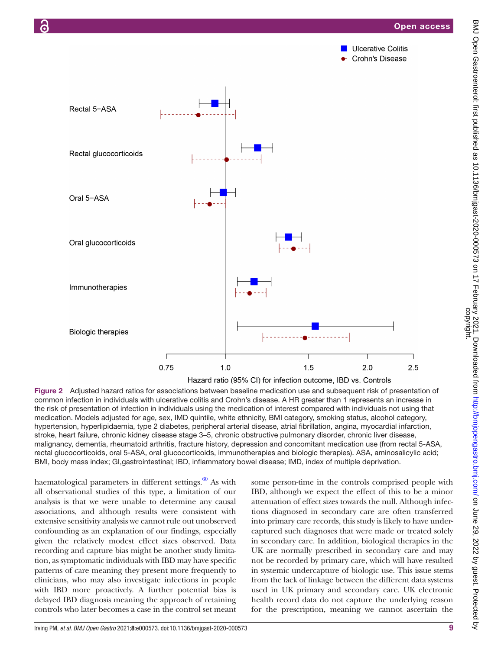

<span id="page-8-0"></span>Figure 2 Adjusted hazard ratios for associations between baseline medication use and subsequent risk of presentation of common infection in individuals with ulcerative colitis and Crohn's disease. A HR greater than 1 represents an increase in the risk of presentation of infection in individuals using the medication of interest compared with individuals not using that medication. Models adjusted for age, sex, IMD quintile, white ethnicity, BMI category, smoking status, alcohol category, hypertension, hyperlipidaemia, type 2 diabetes, peripheral arterial disease, atrial fibrillation, angina, myocardial infarction, stroke, heart failure, chronic kidney disease stage 3–5, chronic obstructive pulmonary disorder, chronic liver disease, malignancy, dementia, rheumatoid arthritis, fracture history, depression and concomitant medication use (from rectal 5-ASA, rectal glucocorticoids, oral 5-ASA, oral glucocorticoids, immunotherapies and biologic therapies). ASA, aminosalicylic acid; BMI, body mass index; GI,gastrointestinal; IBD, inflammatory bowel disease; IMD, index of multiple deprivation.

haematological parameters in different settings.<sup>60</sup> As with all observational studies of this type, a limitation of our analysis is that we were unable to determine any causal associations, and although results were consistent with extensive sensitivity analysis we cannot rule out unobserved confounding as an explanation of our findings, especially given the relatively modest effect sizes observed. Data recording and capture bias might be another study limitation, as symptomatic individuals with IBD may have specific patterns of care meaning they present more frequently to clinicians, who may also investigate infections in people with IBD more proactively. A further potential bias is delayed IBD diagnosis meaning the approach of retaining controls who later becomes a case in the control set meant

some person-time in the controls comprised people with IBD, although we expect the effect of this to be a minor attenuation of effect sizes towards the null. Although infections diagnosed in secondary care are often transferred into primary care records, this study is likely to have undercaptured such diagnoses that were made or treated solely in secondary care. In addition, biological therapies in the UK are normally prescribed in secondary care and may not be recorded by primary care, which will have resulted in systemic undercapture of biologic use. This issue stems from the lack of linkage between the different data systems used in UK primary and secondary care. UK electronic health record data do not capture the underlying reason for the prescription, meaning we cannot ascertain the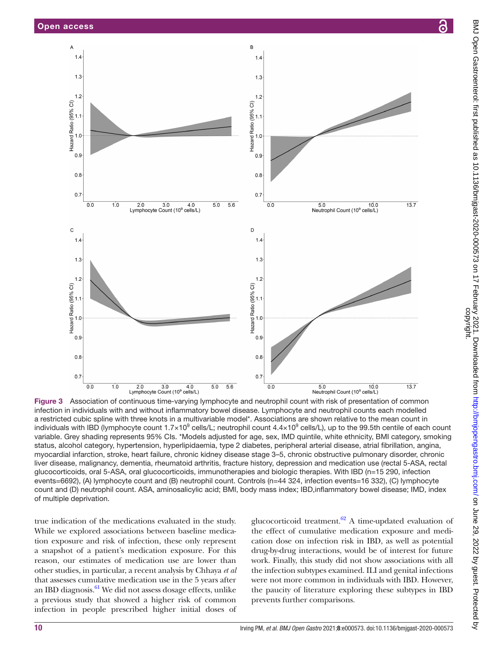

<span id="page-9-0"></span>Figure 3 Association of continuous time-varying lymphocyte and neutrophil count with risk of presentation of common infection in individuals with and without inflammatory bowel disease. Lymphocyte and neutrophil counts each modelled a restricted cubic spline with three knots in a multivariable model\*. Associations are shown relative to the mean count in individuals with IBD (lymphocyte count 1.7×10<sup>9</sup> cells/L; neutrophil count 4.4×10<sup>9</sup> cells/L), up to the 99.5th centile of each count variable. Grey shading represents 95% CIs. \*Models adjusted for age, sex, IMD quintile, white ethnicity, BMI category, smoking status, alcohol category, hypertension, hyperlipidaemia, type 2 diabetes, peripheral arterial disease, atrial fibrillation, angina, myocardial infarction, stroke, heart failure, chronic kidney disease stage 3–5, chronic obstructive pulmonary disorder, chronic liver disease, malignancy, dementia, rheumatoid arthritis, fracture history, depression and medication use (rectal 5-ASA, rectal glucocorticoids, oral 5-ASA, oral glucocorticoids, immunotherapies and biologic therapies. With IBD (n=15 290, infection events=6692), (A) lymphocyte count and (B) neutrophil count. Controls (n=44 324, infection events=16 332), (C) lymphocyte count and (D) neutrophil count. ASA, aminosalicylic acid; BMI, body mass index; IBD,inflammatory bowel disease; IMD, index of multiple deprivation.

true indication of the medications evaluated in the study. While we explored associations between baseline medication exposure and risk of infection, these only represent a snapshot of a patient's medication exposure. For this reason, our estimates of medication use are lower than other studies, in particular, a recent analysis by Chhaya *et al* that assesses cumulative medication use in the 5 years after an IBD diagnosis. $61$  We did not assess dosage effects, unlike a previous study that showed a higher risk of common infection in people prescribed higher initial doses of

glucocorticoid treatment. $62$  A time-updated evaluation of the effect of cumulative medication exposure and medication dose on infection risk in IBD, as well as potential drug-by-drug interactions, would be of interest for future work. Finally, this study did not show associations with all the infection subtypes examined. ILI and genital infections were not more common in individuals with IBD. However, the paucity of literature exploring these subtypes in IBD prevents further comparisons.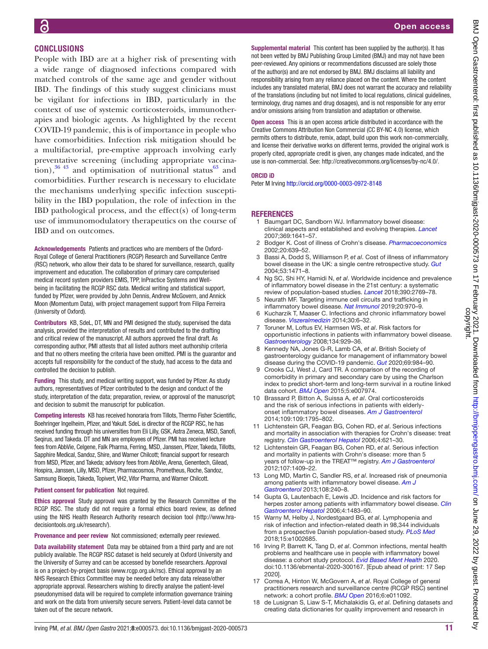# **CONCLUSIONS**

People with IBD are at a higher risk of presenting with a wide range of diagnosed infections compared with matched controls of the same age and gender without IBD. The findings of this study suggest clinicians must be vigilant for infections in IBD, particularly in the context of use of systemic corticosteroids, immunotherapies and biologic agents. As highlighted by the recent COVID-19 pandemic, this is of importance in people who have comorbidities. Infection risk mitigation should be a multifactorial, pre-emptive approach involving early preventative screening (including appropriate vaccination), $36\frac{43}{1}$  and optimisation of nutritional status $63\frac{1}{1}$  and comorbidities. Further research is necessary to elucidate the mechanisms underlying specific infection susceptibility in the IBD population, the role of infection in the IBD pathological process, and the effect(s) of long-term use of immunomodulatory therapeutics on the course of IBD and on outcomes.

Acknowledgements Patients and practices who are members of the Oxford-Royal College of General Practitioners (RCGP) Research and Surveillance Centre (RSC) network, who allow their data to be shared for surveillance, research, quality improvement and education. The collaboration of primary care computerised medical record system providers EMIS, TPP, InPractice Systems and Wellbeing in facilitating the RCGP RSC data. Medical writing and statistical support, funded by Pfizer, were provided by John Dennis, Andrew McGovern, and Annick Moon (Momentum Data), with project management support from Filipa Ferreira (University of Oxford).

Contributors KB, SdeL, DT, MN and PMI designed the study, supervised the data analysis, provided the interpretation of results and contributed to the drafting and critical review of the manuscript. All authors approved the final draft. As corresponding author, PMI attests that all listed authors meet authorship criteria and that no others meeting the criteria have been omitted. PMI is the guarantor and accepts full responsibility for the conduct of the study, had access to the data and controlled the decision to publish.

Funding This study, and medical writing support, was funded by Pfizer. As study authors, representatives of Pfizer contributed to the design and conduct of the study, interpretation of the data; preparation, review, or approval of the manuscript; and decision to submit the manuscript for publication.

Competing interests KB has received honoraria from Tillots, Thermo Fisher Scientific, Boehringer Ingelheim, Pfizer, and Yakult. SdeL is director of the RCGP RSC, he has received funding through his universities from Eli Lilly, GSK, Astra Zeneca, MSD, Sanofi, Seqirus, and Takeda. DT and MN are employees of Pfizer. PMI has received lecture fees from AbbVie, Celgene, Falk Pharma, Ferring, MSD, Janssen, Pfizer, Takeda, Tillotts, Sapphire Medical, Sandoz, Shire, and Warner Chilcott; financial support for research from MSD, Pfizer, and Takeda; advisory fees from AbbVie, Arena, Genentech, Gilead, Hospira, Janssen, Lilly, MSD, Pfizer, Pharmacosmos, Prometheus, Roche, Sandoz, Samsung Bioepis, Takeda, Topivert, VH2, Vifor Pharma, and Warner Chilcott.

Patient consent for publication Not required.

Ethics approval Study approval was granted by the Research Committee of the RCGP RSC. The study did not require a formal ethics board review, as defined using the NHS Health Research Authority research decision tool ([http://www.hra](http://www.hra-decisiontools.org.uk/research/)[decisiontools.org.uk/research/](http://www.hra-decisiontools.org.uk/research/)).

Provenance and peer review Not commissioned; externally peer reviewed.

Data availability statement Data may be obtained from a third party and are not publicly available. The RCGP RSC dataset is held securely at Oxford University and the University of Surrey and can be accessed by bonefide researchers. Approval is on a project-by-project basis (www.rcgp.org.uk/rsc). Ethical approval by an NHS Research Ethics Committee may be needed before any data release/other appropriate approval. Researchers wishing to directly analyse the patient-level pseudonymised data will be required to complete information governance training and work on the data from university secure servers. Patient-level data cannot be taken out of the secure network.

Supplemental material This content has been supplied by the author(s). It has not been vetted by BMJ Publishing Group Limited (BMJ) and may not have been peer-reviewed. Any opinions or recommendations discussed are solely those of the author(s) and are not endorsed by BMJ. BMJ disclaims all liability and responsibility arising from any reliance placed on the content. Where the content includes any translated material, BMJ does not warrant the accuracy and reliability of the translations (including but not limited to local regulations, clinical guidelines, terminology, drug names and drug dosages), and is not responsible for any error and/or omissions arising from translation and adaptation or otherwise.

Open access This is an open access article distributed in accordance with the Creative Commons Attribution Non Commercial (CC BY-NC 4.0) license, which permits others to distribute, remix, adapt, build upon this work non-commercially, and license their derivative works on different terms, provided the original work is properly cited, appropriate credit is given, any changes made indicated, and the use is non-commercial. See:<http://creativecommons.org/licenses/by-nc/4.0/>.

#### ORCID iD

Peter M Irving <http://orcid.org/0000-0003-0972-8148>

## **REFERENCES**

- <span id="page-10-0"></span>1 Baumgart DC, Sandborn WJ. Inflammatory bowel disease: clinical aspects and established and evolving therapies. *[Lancet](http://dx.doi.org/10.1016/S0140-6736(07)60751-X)* 2007;369:1641–57.
- <span id="page-10-1"></span>2 Bodger K. Cost of illness of Crohn's disease. *[Pharmacoeconomics](http://dx.doi.org/10.2165/00019053-200220100-00001)* 2002;20:639–52.
- 3 Bassi A, Dodd S, Williamson P, *et al*. Cost of illness of inflammatory bowel disease in the UK: a single centre retrospective study. *[Gut](http://dx.doi.org/10.1136/gut.2004.041616)* 2004;53:1471–8.
- <span id="page-10-2"></span>4 Ng SC, Shi HY, Hamidi N, *et al*. Worldwide incidence and prevalence of inflammatory bowel disease in the 21st century: a systematic review of population-based studies. *[Lancet](http://dx.doi.org/10.1016/S0140-6736(17)32448-0)* 2018;390:2769–78.
- <span id="page-10-3"></span>5 Neurath MF. Targeting immune cell circuits and trafficking in inflammatory bowel disease. *[Nat Immunol](http://dx.doi.org/10.1038/s41590-019-0415-0)* 2019;20:970–9.
- <span id="page-10-4"></span>6 Kucharzik T, Maaser C. Infections and chronic inflammatory bowel disease. *[Viszeralmedizin](http://dx.doi.org/10.1159/000366463)* 2014;30:6–32.
- <span id="page-10-5"></span>7 Toruner M, Loftus EV, Harmsen WS, *et al*. Risk factors for opportunistic infections in patients with inflammatory bowel disease. *[Gastroenterology](http://dx.doi.org/10.1053/j.gastro.2008.01.012)* 2008;134:929–36.
- <span id="page-10-6"></span>8 Kennedy NA, Jones G-R, Lamb CA, *et al*. British Society of gastroenterology guidance for management of inflammatory bowel disease during the COVID-19 pandemic. *[Gut](http://dx.doi.org/10.1136/gutjnl-2020-321244)* 2020;69:984–90.
- <span id="page-10-7"></span>Crooks CJ, West J, Card TR. A comparison of the recording of comorbidity in primary and secondary care by using the Charlson index to predict short-term and long-term survival in a routine linked data cohort. *[BMJ Open](http://dx.doi.org/10.1136/bmjopen-2015-007974)* 2015;5:e007974.
- <span id="page-10-8"></span>10 Brassard P, Bitton A, Suissa A, *et al*. Oral corticosteroids and the risk of serious infections in patients with elderlyonset inflammatory bowel diseases. *[Am J Gastroenterol](http://dx.doi.org/10.1038/ajg.2014.313)* 2014;109:109:1795–802.
- 11 Lichtenstein GR, Feagan BG, Cohen RD, *et al*. Serious infections and mortality in association with therapies for Crohn's disease: treat registry. *[Clin Gastroenterol Hepatol](http://dx.doi.org/10.1016/j.cgh.2006.03.002)* 2006;4:621–30.
- 12 Lichtenstein GR, Feagan BG, Cohen RD, *et al*. Serious infection and mortality in patients with Crohn's disease: more than 5 years of follow-up in the TREAT™ registry. *[Am J Gastroenterol](http://dx.doi.org/10.1038/ajg.2012.218)* 2012;107:1409–22.
- <span id="page-10-9"></span>13 Long MD, Martin C, Sandler RS, *et al*. Increased risk of pneumonia among patients with inflammatory bowel disease. *[Am J](http://dx.doi.org/10.1038/ajg.2012.406)  [Gastroenterol](http://dx.doi.org/10.1038/ajg.2012.406)* 2013;108:240–8.
- <span id="page-10-14"></span>14 Gupta G, Lautenbach E, Lewis JD. Incidence and risk factors for herpes zoster among patients with inflammatory bowel disease. *[Clin](http://dx.doi.org/10.1016/j.cgh.2006.09.019)  [Gastroenterol Hepatol](http://dx.doi.org/10.1016/j.cgh.2006.09.019)* 2006;4:1483–90.
- <span id="page-10-10"></span>15 Warny M, Helby J, Nordestgaard BG, *et al*. Lymphopenia and risk of infection and infection-related death in 98,344 individuals from a prospective Danish population-based study. *[PLoS Med](http://dx.doi.org/10.1371/journal.pmed.1002685)* 2018;15:e1002685.
- <span id="page-10-11"></span>16 Irving P, Barrett K, Tang D, *et al*. Common infections, mental health problems and healthcare use in people with inflammatory bowel disease: a cohort study protocol. *[Evid Based Ment Health](http://dx.doi.org/10.1136/ebmental-2020-300167)* 2020. doi:10.1136/ebmental-2020-300167. [Epub ahead of print: 17 Sep 2020].
- <span id="page-10-12"></span>17 Correa A, Hinton W, McGovern A, *et al*. Royal College of general practitioners research and surveillance centre (RCGP RSC) sentinel network: a cohort profile. *[BMJ Open](http://dx.doi.org/10.1136/bmjopen-2016-011092)* 2016;6:e011092.
- <span id="page-10-13"></span>18 de Lusignan S, Liaw S-T, Michalakidis G, *et al*. Defining datasets and creating data dictionaries for quality improvement and research in